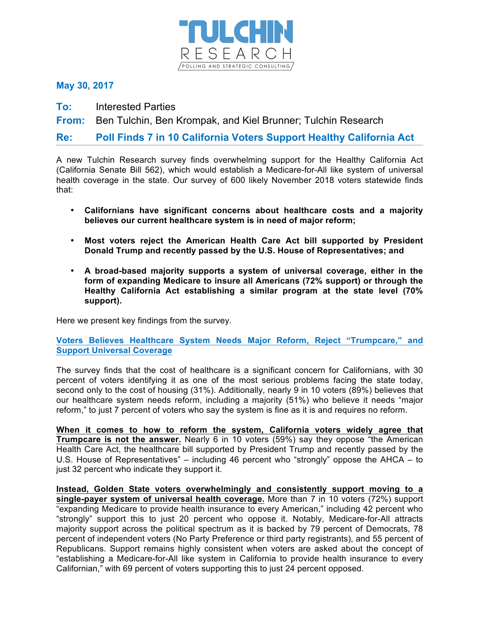

**May 30, 2017**

**To:** Interested Parties

**From:** Ben Tulchin, Ben Krompak, and Kiel Brunner; Tulchin Research

**Re: Poll Finds 7 in 10 California Voters Support Healthy California Act**

A new Tulchin Research survey finds overwhelming support for the Healthy California Act (California Senate Bill 562), which would establish a Medicare-for-All like system of universal health coverage in the state. Our survey of 600 likely November 2018 voters statewide finds that:

- **Californians have significant concerns about healthcare costs and a majority believes our current healthcare system is in need of major reform;**
- **Most voters reject the American Health Care Act bill supported by President Donald Trump and recently passed by the U.S. House of Representatives; and**
- **A broad-based majority supports a system of universal coverage, either in the form of expanding Medicare to insure all Americans (72% support) or through the Healthy California Act establishing a similar program at the state level (70% support).**

Here we present key findings from the survey.

## **Voters Believes Healthcare System Needs Major Reform, Reject "Trumpcare," and Support Universal Coverage**

The survey finds that the cost of healthcare is a significant concern for Californians, with 30 percent of voters identifying it as one of the most serious problems facing the state today, second only to the cost of housing (31%). Additionally, nearly 9 in 10 voters (89%) believes that our healthcare system needs reform, including a majority (51%) who believe it needs "major reform," to just 7 percent of voters who say the system is fine as it is and requires no reform.

**When it comes to how to reform the system, California voters widely agree that Trumpcare is not the answer.** Nearly 6 in 10 voters (59%) say they oppose "the American Health Care Act, the healthcare bill supported by President Trump and recently passed by the U.S. House of Representatives" – including 46 percent who "strongly" oppose the AHCA – to just 32 percent who indicate they support it.

**Instead, Golden State voters overwhelmingly and consistently support moving to a single-payer system of universal health coverage.** More than 7 in 10 voters (72%) support "expanding Medicare to provide health insurance to every American," including 42 percent who "strongly" support this to just 20 percent who oppose it. Notably, Medicare-for-All attracts majority support across the political spectrum as it is backed by 79 percent of Democrats, 78 percent of independent voters (No Party Preference or third party registrants), and 55 percent of Republicans. Support remains highly consistent when voters are asked about the concept of "establishing a Medicare-for-All like system in California to provide health insurance to every Californian," with 69 percent of voters supporting this to just 24 percent opposed.